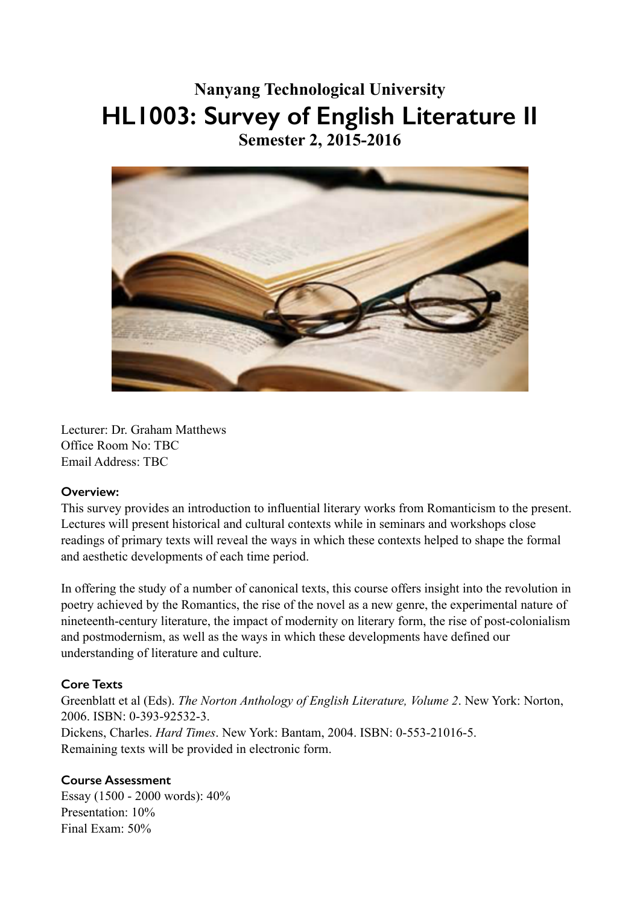## **Nanyang Technological University HL1003: Survey of English Literature II Semester 2, 2015-2016**



Lecturer: Dr. Graham Matthews Office Room No: TBC Email Address: TBC

## **Overview:**

This survey provides an introduction to influential literary works from Romanticism to the present. Lectures will present historical and cultural contexts while in seminars and workshops close readings of primary texts will reveal the ways in which these contexts helped to shape the formal and aesthetic developments of each time period.

In offering the study of a number of canonical texts, this course offers insight into the revolution in poetry achieved by the Romantics, the rise of the novel as a new genre, the experimental nature of nineteenth-century literature, the impact of modernity on literary form, the rise of post-colonialism and postmodernism, as well as the ways in which these developments have defined our understanding of literature and culture.

## **Core Texts**

Greenblatt et al (Eds). *The Norton Anthology of English Literature, Volume 2*. New York: Norton, 2006. ISBN: 0-393-92532-3. Dickens, Charles. *Hard Times*. New York: Bantam, 2004. ISBN: 0-553-21016-5. Remaining texts will be provided in electronic form.

## **Course Assessment**

Essay (1500 - 2000 words): 40% Presentation:  $10\%$ Final Exam: 50%